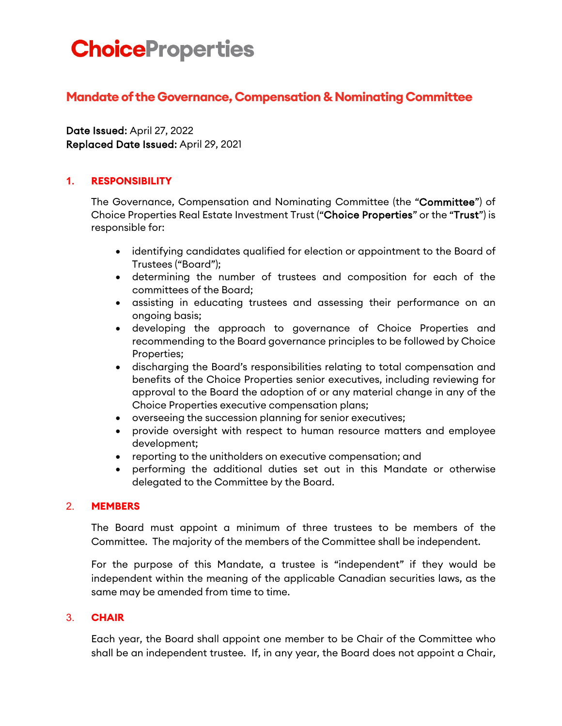# **ChoiceProperties**

## **Mandate of the Governance, Compensation & Nominating Committee**

Date Issued: April 27, 2022 Replaced Date Issued: April 29, 2021

## **1. RESPONSIBILITY**

The Governance, Compensation and Nominating Committee (the "Committee") of Choice Properties Real Estate Investment Trust ("Choice Properties" or the "Trust") is responsible for:

- identifying candidates qualified for election or appointment to the Board of Trustees ("Board");
- determining the number of trustees and composition for each of the committees of the Board;
- assisting in educating trustees and assessing their performance on an ongoing basis;
- developing the approach to governance of Choice Properties and recommending to the Board governance principles to be followed by Choice Properties;
- discharging the Board's responsibilities relating to total compensation and benefits of the Choice Properties senior executives, including reviewing for approval to the Board the adoption of or any material change in any of the Choice Properties executive compensation plans;
- overseeing the succession planning for senior executives;
- provide oversight with respect to human resource matters and employee development;
- reporting to the unitholders on executive compensation; and
- performing the additional duties set out in this Mandate or otherwise delegated to the Committee by the Board.

## 2. **MEMBERS**

The Board must appoint a minimum of three trustees to be members of the Committee. The majority of the members of the Committee shall be independent.

For the purpose of this Mandate, a trustee is "independent" if they would be independent within the meaning of the applicable Canadian securities laws, as the same may be amended from time to time.

#### 3. **CHAIR**

Each year, the Board shall appoint one member to be Chair of the Committee who shall be an independent trustee. If, in any year, the Board does not appoint a Chair,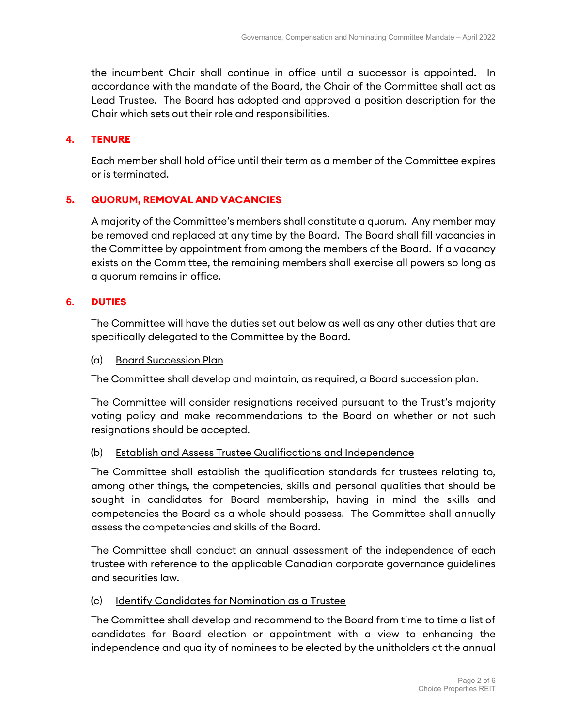the incumbent Chair shall continue in office until a successor is appointed. In accordance with the mandate of the Board, the Chair of the Committee shall act as Lead Trustee. The Board has adopted and approved a position description for the Chair which sets out their role and responsibilities.

#### **4. TENURE**

Each member shall hold office until their term as a member of the Committee expires or is terminated.

#### **5. QUORUM, REMOVAL AND VACANCIES**

A majority of the Committee's members shall constitute a quorum. Any member may be removed and replaced at any time by the Board. The Board shall fill vacancies in the Committee by appointment from among the members of the Board. If a vacancy exists on the Committee, the remaining members shall exercise all powers so long as a quorum remains in office.

#### **6. DUTIES**

The Committee will have the duties set out below as well as any other duties that are specifically delegated to the Committee by the Board.

#### (a) Board Succession Plan

The Committee shall develop and maintain, as required, a Board succession plan.

The Committee will consider resignations received pursuant to the Trust's majority voting policy and make recommendations to the Board on whether or not such resignations should be accepted.

#### (b) Establish and Assess Trustee Qualifications and Independence

The Committee shall establish the qualification standards for trustees relating to, among other things, the competencies, skills and personal qualities that should be sought in candidates for Board membership, having in mind the skills and competencies the Board as a whole should possess. The Committee shall annually assess the competencies and skills of the Board.

The Committee shall conduct an annual assessment of the independence of each trustee with reference to the applicable Canadian corporate governance guidelines and securities law.

#### (c) Identify Candidates for Nomination as a Trustee

The Committee shall develop and recommend to the Board from time to time a list of candidates for Board election or appointment with a view to enhancing the independence and quality of nominees to be elected by the unitholders at the annual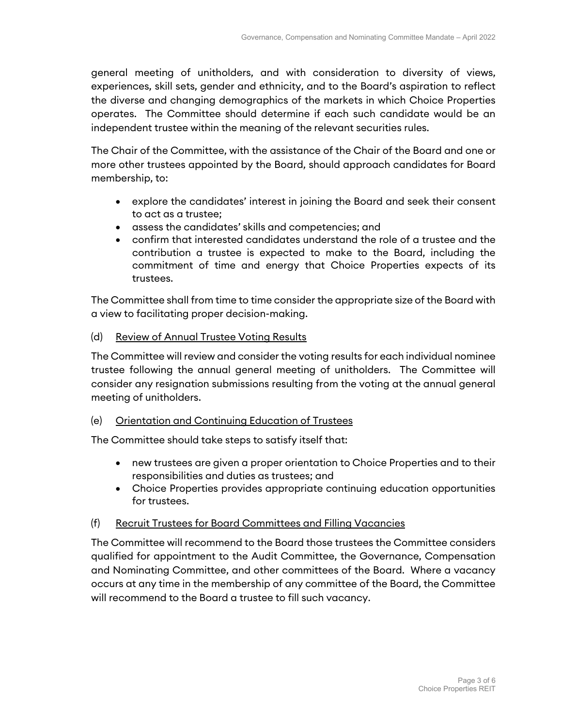general meeting of unitholders, and with consideration to diversity of views, experiences, skill sets, gender and ethnicity, and to the Board's aspiration to reflect the diverse and changing demographics of the markets in which Choice Properties operates. The Committee should determine if each such candidate would be an independent trustee within the meaning of the relevant securities rules.

The Chair of the Committee, with the assistance of the Chair of the Board and one or more other trustees appointed by the Board, should approach candidates for Board membership, to:

- explore the candidates' interest in joining the Board and seek their consent to act as a trustee;
- assess the candidates' skills and competencies; and
- confirm that interested candidates understand the role of a trustee and the contribution a trustee is expected to make to the Board, including the commitment of time and energy that Choice Properties expects of its trustees.

The Committee shall from time to time consider the appropriate size of the Board with a view to facilitating proper decision-making.

(d) Review of Annual Trustee Voting Results

The Committee will review and consider the voting results for each individual nominee trustee following the annual general meeting of unitholders. The Committee will consider any resignation submissions resulting from the voting at the annual general meeting of unitholders.

## (e) Orientation and Continuing Education of Trustees

The Committee should take steps to satisfy itself that:

- new trustees are given a proper orientation to Choice Properties and to their responsibilities and duties as trustees; and
- Choice Properties provides appropriate continuing education opportunities for trustees.

## (f) Recruit Trustees for Board Committees and Filling Vacancies

The Committee will recommend to the Board those trustees the Committee considers qualified for appointment to the Audit Committee, the Governance, Compensation and Nominating Committee, and other committees of the Board. Where a vacancy occurs at any time in the membership of any committee of the Board, the Committee will recommend to the Board a trustee to fill such vacancy.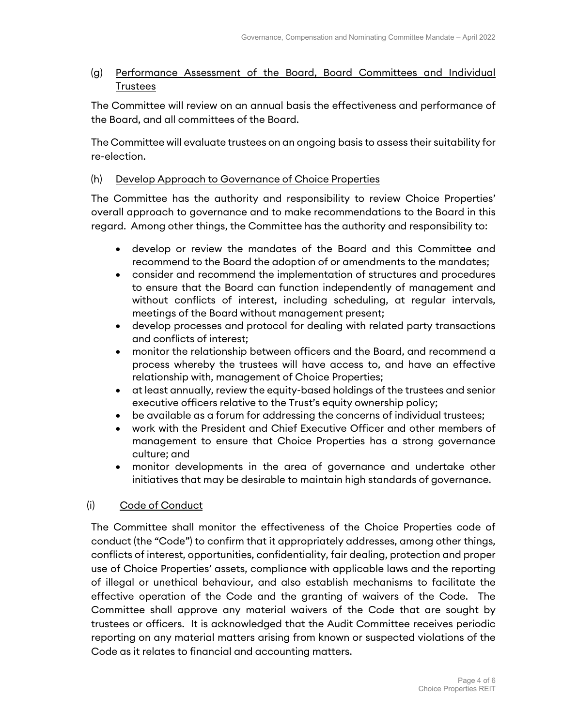## (g) Performance Assessment of the Board, Board Committees and Individual Trustees

The Committee will review on an annual basis the effectiveness and performance of the Board, and all committees of the Board.

The Committee will evaluate trustees on an ongoing basis to assess their suitability for re-election.

## (h) Develop Approach to Governance of Choice Properties

The Committee has the authority and responsibility to review Choice Properties' overall approach to governance and to make recommendations to the Board in this regard. Among other things, the Committee has the authority and responsibility to:

- develop or review the mandates of the Board and this Committee and recommend to the Board the adoption of or amendments to the mandates;
- consider and recommend the implementation of structures and procedures to ensure that the Board can function independently of management and without conflicts of interest, including scheduling, at regular intervals, meetings of the Board without management present;
- develop processes and protocol for dealing with related party transactions and conflicts of interest;
- monitor the relationship between officers and the Board, and recommend a process whereby the trustees will have access to, and have an effective relationship with, management of Choice Properties;
- at least annually, review the equity-based holdings of the trustees and senior executive officers relative to the Trust's equity ownership policy;
- be available as a forum for addressing the concerns of individual trustees;
- work with the President and Chief Executive Officer and other members of management to ensure that Choice Properties has a strong governance culture; and
- monitor developments in the area of governance and undertake other initiatives that may be desirable to maintain high standards of governance.

## (i) Code of Conduct

The Committee shall monitor the effectiveness of the Choice Properties code of conduct (the "Code") to confirm that it appropriately addresses, among other things, conflicts of interest, opportunities, confidentiality, fair dealing, protection and proper use of Choice Properties' assets, compliance with applicable laws and the reporting of illegal or unethical behaviour, and also establish mechanisms to facilitate the effective operation of the Code and the granting of waivers of the Code. The Committee shall approve any material waivers of the Code that are sought by trustees or officers. It is acknowledged that the Audit Committee receives periodic reporting on any material matters arising from known or suspected violations of the Code as it relates to financial and accounting matters.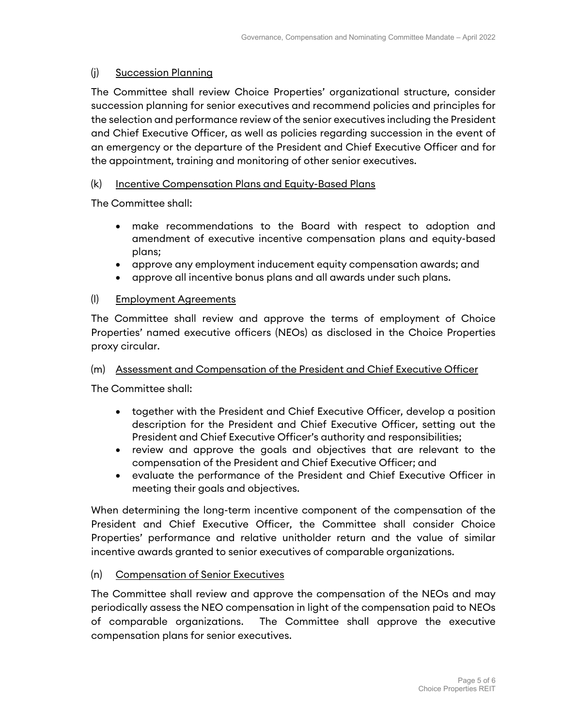## (j) Succession Planning

The Committee shall review Choice Properties' organizational structure, consider succession planning for senior executives and recommend policies and principles for the selection and performance review of the senior executives including the President and Chief Executive Officer, as well as policies regarding succession in the event of an emergency or the departure of the President and Chief Executive Officer and for the appointment, training and monitoring of other senior executives.

## (k) Incentive Compensation Plans and Equity-Based Plans

The Committee shall:

- make recommendations to the Board with respect to adoption and amendment of executive incentive compensation plans and equity-based plans;
- approve any employment inducement equity compensation awards; and
- approve all incentive bonus plans and all awards under such plans.

## (l) Employment Agreements

The Committee shall review and approve the terms of employment of Choice Properties' named executive officers (NEOs) as disclosed in the Choice Properties proxy circular.

#### (m) Assessment and Compensation of the President and Chief Executive Officer

The Committee shall:

- together with the President and Chief Executive Officer, develop a position description for the President and Chief Executive Officer, setting out the President and Chief Executive Officer's authority and responsibilities;
- review and approve the goals and objectives that are relevant to the compensation of the President and Chief Executive Officer; and
- evaluate the performance of the President and Chief Executive Officer in meeting their goals and objectives.

When determining the long-term incentive component of the compensation of the President and Chief Executive Officer, the Committee shall consider Choice Properties' performance and relative unitholder return and the value of similar incentive awards granted to senior executives of comparable organizations.

(n) Compensation of Senior Executives

The Committee shall review and approve the compensation of the NEOs and may periodically assess the NEO compensation in light of the compensation paid to NEOs of comparable organizations. The Committee shall approve the executive compensation plans for senior executives.